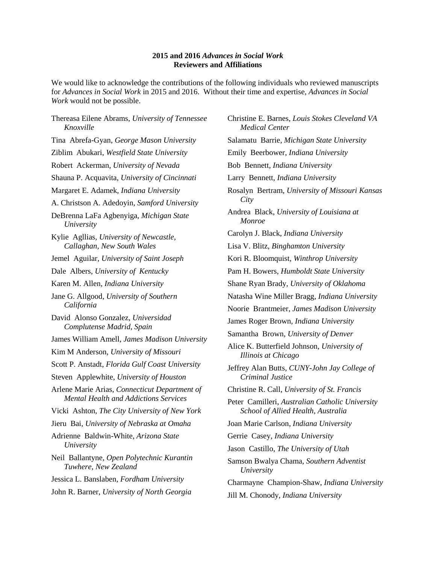## **2015 and 2016** *Advances in Social Work* **Reviewers and Affiliations**

We would like to acknowledge the contributions of the following individuals who reviewed manuscripts for *Advances in Social Work* in 2015 and 2016. Without their time and expertise, *Advances in Social Work* would not be possible.

Thereasa Eilene Abrams, *University of Tennessee Knoxville* Tina Abrefa-Gyan, *George Mason University* Ziblim Abukari, *Westfield State University* Robert Ackerman, *University of Nevada* Shauna P. Acquavita, *University of Cincinnati* Margaret E. Adamek, *Indiana University* A. Christson A. Adedoyin, *Samford University* DeBrenna LaFa Agbenyiga, *Michigan State University* Kylie Agllias, *University of Newcastle, Callaghan, New South Wales* Jemel Aguilar, *University of Saint Joseph* Dale Albers, *University of Kentucky* Karen M. Allen, *Indiana University* Jane G. Allgood, *University of Southern California* David Alonso Gonzalez, *Universidad Complutense Madrid, Spain* James William Amell, *James Madison University* Kim M Anderson, *University of Missouri* Scott P. Anstadt, *Florida Gulf Coast University* Steven Applewhite, *University of Houston* Arlene Marie Arias, *Connecticut Department of Mental Health and Addictions Services* Vicki Ashton, *The City University of New York* Jieru Bai, *University of Nebraska at Omaha* Adrienne Baldwin-White, *Arizona State University* Neil Ballantyne, *Open Polytechnic Kurantin Tuwhere, New Zealand* Jessica L. Banslaben, *Fordham University* John R. Barner, *University of North Georgia*

Christine E. Barnes, *Louis Stokes Cleveland VA Medical Center* Salamatu Barrie, *Michigan State University* Emily Beerbower, *Indiana University* Bob Bennett, *Indiana University* Larry Bennett, *Indiana University* Rosalyn Bertram, *University of Missouri Kansas City* Andrea Black, *University of Louisiana at Monroe* Carolyn J. Black, *Indiana University* Lisa V. Blitz, *Binghamton University* Kori R. Bloomquist, *Winthrop University* Pam H. Bowers, *Humboldt State University* Shane Ryan Brady, *University of Oklahoma* Natasha Wine Miller Bragg, *Indiana University* Noorie Brantmeier, *James Madison University* James Roger Brown, *Indiana University* Samantha Brown, *University of Denver* Alice K. Butterfield Johnson, *University of Illinois at Chicago* Jeffrey Alan Butts, *CUNY-John Jay College of Criminal Justice* Christine R. Call, *University of St. Francis* Peter Camilleri, *Australian Catholic University School of Allied Health, Australia* Joan Marie Carlson, *Indiana University* Gerrie Casey, *Indiana University* Jason Castillo, *The University of Utah* Samson Bwalya Chama, *Southern Adventist University* Charmayne Champion-Shaw, *Indiana University* Jill M. Chonody, *Indiana University*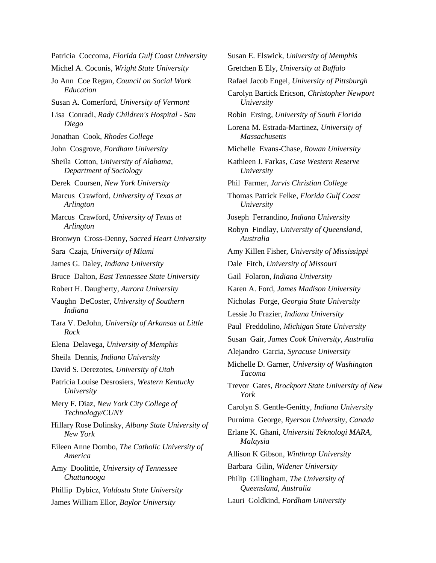Patricia Coccoma, *Florida Gulf Coast University* Michel A. Coconis, *Wright State University* Jo Ann Coe Regan, *Council on Social Work Education* Susan A. Comerford, *University of Vermont* Lisa Conradi, *Rady Children's Hospital - San Diego* Jonathan Cook, *Rhodes College* John Cosgrove, *Fordham University* Sheila Cotton, *University of Alabama, Department of Sociology* Derek Coursen, *New York University* Marcus Crawford, *University of Texas at Arlington* Marcus Crawford, *University of Texas at Arlington* Bronwyn Cross-Denny, *Sacred Heart University* Sara Czaja, *University of Miami* James G. Daley, *Indiana University* Bruce Dalton, *East Tennessee State University* Robert H. Daugherty, *Aurora University* Vaughn DeCoster, *University of Southern Indiana* Tara V. DeJohn, *University of Arkansas at Little Rock* Elena Delavega, *University of Memphis* Sheila Dennis, *Indiana University* David S. Derezotes, *University of Utah* Patricia Louise Desrosiers, *Western Kentucky University* Mery F. Diaz, *New York City College of Technology/CUNY* Hillary Rose Dolinsky, *Albany State University of New York* Eileen Anne Dombo, *The Catholic University of America* Amy Doolittle, *University of Tennessee Chattanooga* Phillip Dybicz, *Valdosta State University* James William Ellor, *Baylor University*

Susan E. Elswick, *University of Memphis* Gretchen E Ely, *University at Buffalo* Rafael Jacob Engel, *University of Pittsburgh* Carolyn Bartick Ericson, *Christopher Newport University* Robin Ersing, *University of South Florida* Lorena M. Estrada-Martinez, *University of Massachusetts* Michelle Evans-Chase, *Rowan University* Kathleen J. Farkas, *Case Western Reserve University* Phil Farmer, *Jarvis Christian College* Thomas Patrick Felke, *Florida Gulf Coast University* Joseph Ferrandino, *Indiana University* Robyn Findlay, *University of Queensland, Australia* Amy Killen Fisher, *University of Mississippi* Dale Fitch, *University of Missouri* Gail Folaron, *Indiana University* Karen A. Ford, *James Madison University* Nicholas Forge, *Georgia State University* Lessie Jo Frazier, *Indiana University* Paul Freddolino, *Michigan State University* Susan Gair, *James Cook University, Australia* Alejandro Garcia, *Syracuse University* Michelle D. Garner, *University of Washington Tacoma* Trevor Gates, *Brockport State University of New York* Carolyn S. Gentle-Genitty, *Indiana University* Purnima George, *Ryerson University, Canada* Erlane K. Ghani, *Universiti Teknologi MARA, Malaysia* Allison K Gibson, *Winthrop University* Barbara Gilin, *Widener University* Philip Gillingham, *The University of Queensland, Australia* Lauri Goldkind, *Fordham University*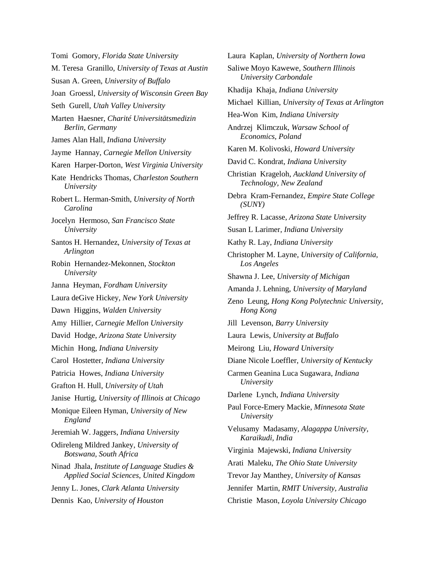Tomi Gomory, *Florida State University* M. Teresa Granillo, *University of Texas at Austin* Susan A. Green, *University of Buffalo* Joan Groessl, *University of Wisconsin Green Bay* Seth Gurell, *Utah Valley University* Marten Haesner, *Charité Universitätsmedizin Berlin, Germany* James Alan Hall, *Indiana University* Jayme Hannay, *Carnegie Mellon University* Karen Harper-Dorton, *West Virginia University* Kate Hendricks Thomas, *Charleston Southern University* Robert L. Herman-Smith, *University of North Carolina* Jocelyn Hermoso, *San Francisco State University* Santos H. Hernandez, *University of Texas at Arlington* Robin Hernandez-Mekonnen, *Stockton University* Janna Heyman, *Fordham University* Laura deGive Hickey, *New York University* Dawn Higgins, *Walden University* Amy Hillier, *Carnegie Mellon University* David Hodge, *Arizona State University* Michin Hong, *Indiana University* Carol Hostetter, *Indiana University* Patricia Howes, *Indiana University* Grafton H. Hull, *University of Utah* Janise Hurtig, *University of Illinois at Chicago* Monique Eileen Hyman, *University of New England* Jeremiah W. Jaggers, *Indiana University* Odireleng Mildred Jankey, *University of Botswana, South Africa* Ninad Jhala, *Institute of Language Studies & Applied Social Sciences, United Kingdom* Jenny L. Jones, *Clark Atlanta University* Dennis Kao, *University of Houston*

Laura Kaplan, *University of Northern Iowa* Saliwe Moyo Kawewe, *Southern Illinois University Carbondale* Khadija Khaja, *Indiana University* Michael Killian, *University of Texas at Arlington* Hea-Won Kim, *Indiana University* Andrzej Klimczuk, *Warsaw School of Economics, Poland* Karen M. Kolivoski, *Howard University* David C. Kondrat, *Indiana University* Christian Krageloh, *Auckland University of Technology, New Zealand* Debra Kram-Fernandez, *Empire State College (SUNY)* Jeffrey R. Lacasse, *Arizona State University* Susan L Larimer, *Indiana University* Kathy R. Lay, *Indiana University* Christopher M. Layne, *University of California, Los Angeles* Shawna J. Lee, *University of Michigan* Amanda J. Lehning, *University of Maryland* Zeno Leung, *Hong Kong Polytechnic University, Hong Kong* Jill Levenson, *Barry University* Laura Lewis, *University at Buffalo* Meirong Liu, *Howard University* Diane Nicole Loeffler, *University of Kentucky* Carmen Geanina Luca Sugawara, *Indiana University* Darlene Lynch, *Indiana University* Paul Force-Emery Mackie, *Minnesota State University* Velusamy Madasamy, *Alagappa University, Karaikudi, India* Virginia Majewski, *Indiana University* Arati Maleku, *The Ohio State University* Trevor Jay Manthey, *University of Kansas* Jennifer Martin, *RMIT University, Australia* Christie Mason, *Loyola University Chicago*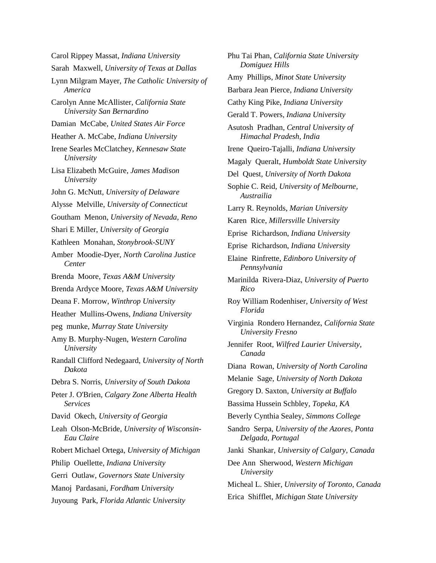Carol Rippey Massat, *Indiana University* Sarah Maxwell, *University of Texas at Dallas* Lynn Milgram Mayer, *The Catholic University of America* Carolyn Anne McAllister, *California State University San Bernardino* Damian McCabe, *United States Air Force* Heather A. McCabe, *Indiana University* Irene Searles McClatchey, *Kennesaw State University* Lisa Elizabeth McGuire, *James Madison University* John G. McNutt, *University of Delaware* Alysse Melville, *University of Connecticut* Goutham Menon, *University of Nevada, Reno* Shari E Miller, *University of Georgia* Kathleen Monahan, *Stonybrook-SUNY* Amber Moodie-Dyer, *North Carolina Justice Center* Brenda Moore, *Texas A&M University* Brenda Ardyce Moore, *Texas A&M University* Deana F. Morrow, *Winthrop University* Heather Mullins-Owens, *Indiana University* peg munke, *Murray State University* Amy B. Murphy-Nugen, *Western Carolina University* Randall Clifford Nedegaard, *University of North Dakota* Debra S. Norris, *University of South Dakota* Peter J. O'Brien, *Calgary Zone Alberta Health Services* David Okech, *University of Georgia* Leah Olson-McBride, *University of Wisconsin-Eau Claire* Robert Michael Ortega, *University of Michigan* Philip Ouellette, *Indiana University* Gerri Outlaw, *Governors State University* Manoj Pardasani, *Fordham University* Juyoung Park, *Florida Atlantic University*

Phu Tai Phan, *California State University Domiguez Hills* Amy Phillips, *Minot State University* Barbara Jean Pierce, *Indiana University* Cathy King Pike, *Indiana University* Gerald T. Powers, *Indiana University* Asutosh Pradhan, *Central University of Himachal Pradesh, India* Irene Queiro-Tajalli, *Indiana University* Magaly Queralt, *Humboldt State University* Del Quest, *University of North Dakota* Sophie C. Reid, *University of Melbourne, Austrailia* Larry R. Reynolds, *Marian University* Karen Rice, *Millersville University* Eprise Richardson, *Indiana University* Eprise Richardson, *Indiana University* Elaine Rinfrette, *Edinboro University of Pennsylvania* Marinilda Rivera-Diaz, *University of Puerto Rico* Roy William Rodenhiser, *University of West Florida* Virginia Rondero Hernandez, *California State University Fresno* Jennifer Root, *Wilfred Laurier University, Canada* Diana Rowan, *University of North Carolina* Melanie Sage, *University of North Dakota* Gregory D. Saxton, *University at Buffalo* Bassima Hussein Schbley, *Topeka, KA* Beverly Cynthia Sealey, *Simmons College* Sandro Serpa, *University of the Azores, Ponta Delgada, Portugal* Janki Shankar, *University of Calgary, Canada* Dee Ann Sherwood, *Western Michigan University* Micheal L. Shier, *University of Toronto, Canada* Erica Shifflet, *Michigan State University*